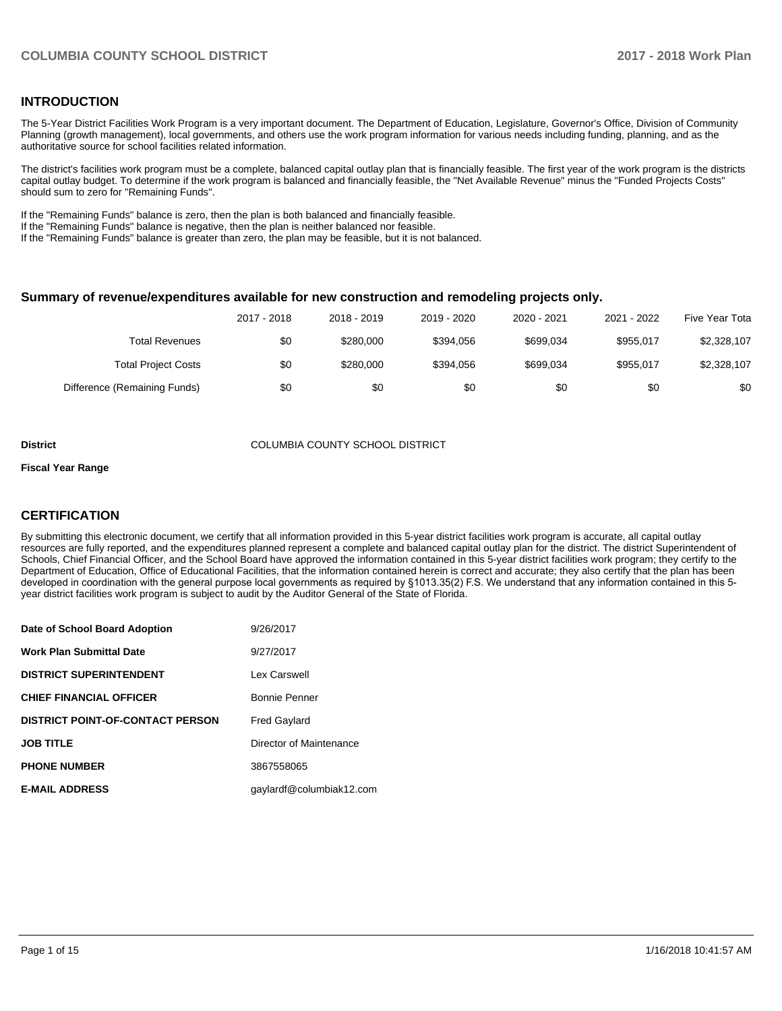#### **INTRODUCTION**

The 5-Year District Facilities Work Program is a very important document. The Department of Education, Legislature, Governor's Office, Division of Community Planning (growth management), local governments, and others use the work program information for various needs including funding, planning, and as the authoritative source for school facilities related information.

The district's facilities work program must be a complete, balanced capital outlay plan that is financially feasible. The first year of the work program is the districts capital outlay budget. To determine if the work program is balanced and financially feasible, the "Net Available Revenue" minus the "Funded Projects Costs" should sum to zero for "Remaining Funds".

If the "Remaining Funds" balance is zero, then the plan is both balanced and financially feasible.

If the "Remaining Funds" balance is negative, then the plan is neither balanced nor feasible.

If the "Remaining Funds" balance is greater than zero, the plan may be feasible, but it is not balanced.

#### **Summary of revenue/expenditures available for new construction and remodeling projects only.**

|                              | 2017 - 2018 | 2018 - 2019 | 2019 - 2020 | 2020 - 2021 | 2021 - 2022 | Five Year Tota |
|------------------------------|-------------|-------------|-------------|-------------|-------------|----------------|
| <b>Total Revenues</b>        | \$0         | \$280,000   | \$394.056   | \$699.034   | \$955.017   | \$2,328,107    |
| <b>Total Project Costs</b>   | \$0         | \$280,000   | \$394.056   | \$699.034   | \$955.017   | \$2,328,107    |
| Difference (Remaining Funds) | \$0         | \$0         | \$0         | \$0         | \$0         | \$0            |

#### **District** COLUMBIA COUNTY SCHOOL DISTRICT

#### **Fiscal Year Range**

#### **CERTIFICATION**

By submitting this electronic document, we certify that all information provided in this 5-year district facilities work program is accurate, all capital outlay resources are fully reported, and the expenditures planned represent a complete and balanced capital outlay plan for the district. The district Superintendent of Schools, Chief Financial Officer, and the School Board have approved the information contained in this 5-year district facilities work program; they certify to the Department of Education, Office of Educational Facilities, that the information contained herein is correct and accurate; they also certify that the plan has been developed in coordination with the general purpose local governments as required by §1013.35(2) F.S. We understand that any information contained in this 5year district facilities work program is subject to audit by the Auditor General of the State of Florida.

| Date of School Board Adoption           | 9/26/2017                |
|-----------------------------------------|--------------------------|
| <b>Work Plan Submittal Date</b>         | 9/27/2017                |
| <b>DISTRICT SUPERINTENDENT</b>          | Lex Carswell             |
| <b>CHIEF FINANCIAL OFFICER</b>          | Bonnie Penner            |
| <b>DISTRICT POINT-OF-CONTACT PERSON</b> | <b>Fred Gaylard</b>      |
| <b>JOB TITLE</b>                        | Director of Maintenance  |
| <b>PHONE NUMBER</b>                     | 3867558065               |
| <b>E-MAIL ADDRESS</b>                   | qaylardf@columbiak12.com |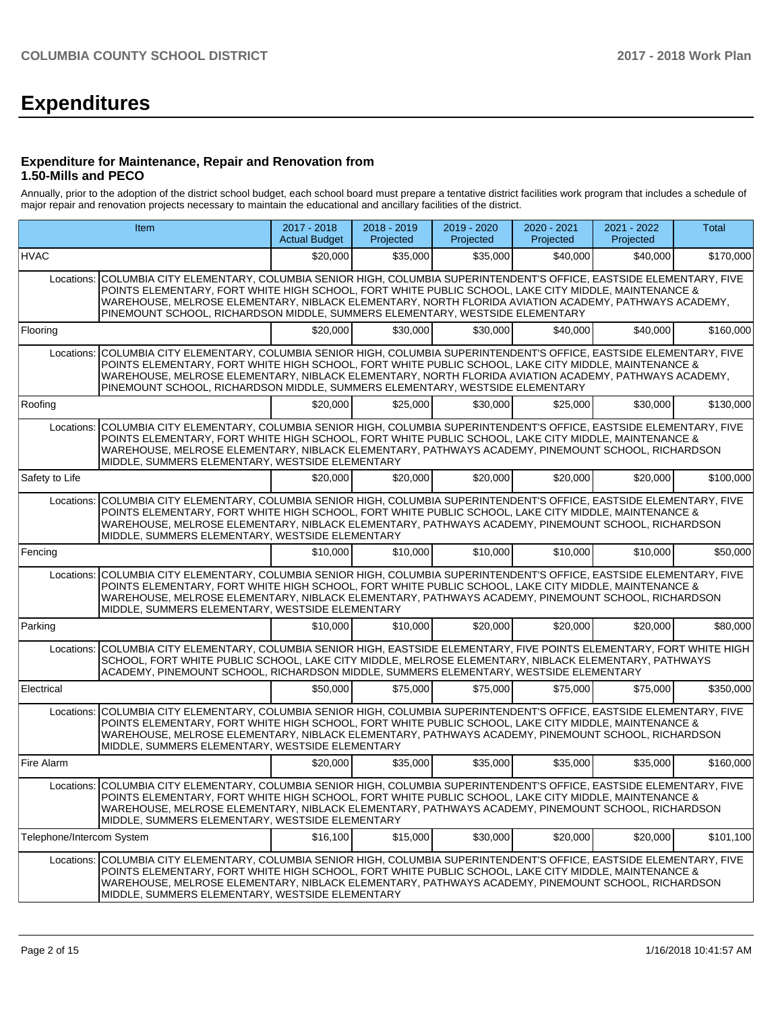# **Expenditures**

#### **Expenditure for Maintenance, Repair and Renovation from 1.50-Mills and PECO**

Annually, prior to the adoption of the district school budget, each school board must prepare a tentative district facilities work program that includes a schedule of major repair and renovation projects necessary to maintain the educational and ancillary facilities of the district.

|                           | Item                                                                                                                                                                                                                                                                                                                                                                                                                   | 2017 - 2018<br><b>Actual Budget</b> | 2018 - 2019<br>Projected | 2019 - 2020<br>Projected | 2020 - 2021<br>Projected | 2021 - 2022<br>Projected | <b>Total</b> |
|---------------------------|------------------------------------------------------------------------------------------------------------------------------------------------------------------------------------------------------------------------------------------------------------------------------------------------------------------------------------------------------------------------------------------------------------------------|-------------------------------------|--------------------------|--------------------------|--------------------------|--------------------------|--------------|
| HVAC                      |                                                                                                                                                                                                                                                                                                                                                                                                                        | \$20,000                            | \$35,000                 | \$35,000                 | \$40,000                 | \$40,000                 | \$170,000    |
|                           | Locations: COLUMBIA CITY ELEMENTARY, COLUMBIA SENIOR HIGH, COLUMBIA SUPERINTENDENT'S OFFICE, EASTSIDE ELEMENTARY, FIVE<br>POINTS ELEMENTARY, FORT WHITE HIGH SCHOOL, FORT WHITE PUBLIC SCHOOL, LAKE CITY MIDDLE, MAINTENANCE &<br>WAREHOUSE, MELROSE ELEMENTARY, NIBLACK ELEMENTARY, NORTH FLORIDA AVIATION ACADEMY, PATHWAYS ACADEMY,<br>PINEMOUNT SCHOOL, RICHARDSON MIDDLE, SUMMERS ELEMENTARY, WESTSIDE ELEMENTARY |                                     |                          |                          |                          |                          |              |
| Flooring                  |                                                                                                                                                                                                                                                                                                                                                                                                                        | \$20,000                            | \$30.000                 | \$30,000                 | \$40,000                 | \$40,000                 | \$160,000    |
| Locations:                | COLUMBIA CITY ELEMENTARY, COLUMBIA SENIOR HIGH, COLUMBIA SUPERINTENDENT'S OFFICE, EASTSIDE ELEMENTARY, FIVE<br>POINTS ELEMENTARY, FORT WHITE HIGH SCHOOL, FORT WHITE PUBLIC SCHOOL, LAKE CITY MIDDLE, MAINTENANCE &<br>WAREHOUSE, MELROSE ELEMENTARY, NIBLACK ELEMENTARY, NORTH FLORIDA AVIATION ACADEMY, PATHWAYS ACADEMY,<br>PINEMOUNT SCHOOL, RICHARDSON MIDDLE, SUMMERS ELEMENTARY, WESTSIDE ELEMENTARY            |                                     |                          |                          |                          |                          |              |
| Roofing                   |                                                                                                                                                                                                                                                                                                                                                                                                                        | \$20,000                            | \$25,000                 | \$30,000                 | \$25,000                 | \$30,000                 | \$130,000    |
| Locations:                | COLUMBIA CITY ELEMENTARY, COLUMBIA SENIOR HIGH, COLUMBIA SUPERINTENDENT'S OFFICE, EASTSIDE ELEMENTARY, FIVE<br>POINTS ELEMENTARY, FORT WHITE HIGH SCHOOL, FORT WHITE PUBLIC SCHOOL, LAKE CITY MIDDLE, MAINTENANCE &<br>WAREHOUSE, MELROSE ELEMENTARY, NIBLACK ELEMENTARY, PATHWAYS ACADEMY, PINEMOUNT SCHOOL, RICHARDSON<br>MIDDLE, SUMMERS ELEMENTARY, WESTSIDE ELEMENTARY                                            |                                     |                          |                          |                          |                          |              |
| Safety to Life            |                                                                                                                                                                                                                                                                                                                                                                                                                        | \$20,000                            | \$20,000                 | \$20,000                 | \$20,000                 | \$20,000                 | \$100,000    |
| Locations:                | COLUMBIA CITY ELEMENTARY, COLUMBIA SENIOR HIGH, COLUMBIA SUPERINTENDENT'S OFFICE, EASTSIDE ELEMENTARY, FIVE<br>POINTS ELEMENTARY, FORT WHITE HIGH SCHOOL, FORT WHITE PUBLIC SCHOOL, LAKE CITY MIDDLE, MAINTENANCE &<br>WAREHOUSE, MELROSE ELEMENTARY, NIBLACK ELEMENTARY, PATHWAYS ACADEMY, PINEMOUNT SCHOOL, RICHARDSON<br>MIDDLE, SUMMERS ELEMENTARY, WESTSIDE ELEMENTARY                                            |                                     |                          |                          |                          |                          |              |
| Fencing                   |                                                                                                                                                                                                                                                                                                                                                                                                                        | \$10,000                            | \$10,000                 | \$10,000                 | \$10,000                 | \$10,000                 | \$50,000     |
| Locations:                | COLUMBIA CITY ELEMENTARY, COLUMBIA SENIOR HIGH, COLUMBIA SUPERINTENDENT'S OFFICE, EASTSIDE ELEMENTARY, FIVE<br>POINTS ELEMENTARY, FORT WHITE HIGH SCHOOL, FORT WHITE PUBLIC SCHOOL, LAKE CITY MIDDLE, MAINTENANCE &<br>WAREHOUSE, MELROSE ELEMENTARY, NIBLACK ELEMENTARY, PATHWAYS ACADEMY, PINEMOUNT SCHOOL, RICHARDSON<br>MIDDLE, SUMMERS ELEMENTARY, WESTSIDE ELEMENTARY                                            |                                     |                          |                          |                          |                          |              |
| Parking                   |                                                                                                                                                                                                                                                                                                                                                                                                                        | \$10,000                            | \$10,000                 | \$20,000                 | \$20,000                 | \$20,000                 | \$80,000     |
| Locations:                | COLUMBIA CITY ELEMENTARY, COLUMBIA SENIOR HIGH, EASTSIDE ELEMENTARY, FIVE POINTS ELEMENTARY, FORT WHITE HIGH<br>SCHOOL, FORT WHITE PUBLIC SCHOOL, LAKE CITY MIDDLE, MELROSE ELEMENTARY, NIBLACK ELEMENTARY, PATHWAYS<br>ACADEMY, PINEMOUNT SCHOOL, RICHARDSON MIDDLE, SUMMERS ELEMENTARY, WESTSIDE ELEMENTARY                                                                                                          |                                     |                          |                          |                          |                          |              |
| Electrical                |                                                                                                                                                                                                                                                                                                                                                                                                                        | \$50,000                            | \$75,000                 | \$75,000                 | \$75,000                 | \$75,000                 | \$350,000    |
| Locations:                | COLUMBIA CITY ELEMENTARY, COLUMBIA SENIOR HIGH, COLUMBIA SUPERINTENDENT'S OFFICE, EASTSIDE ELEMENTARY, FIVE<br>POINTS ELEMENTARY. FORT WHITE HIGH SCHOOL. FORT WHITE PUBLIC SCHOOL. LAKE CITY MIDDLE, MAINTENANCE &<br>WAREHOUSE, MELROSE ELEMENTARY, NIBLACK ELEMENTARY, PATHWAYS ACADEMY, PINEMOUNT SCHOOL, RICHARDSON<br>MIDDLE, SUMMERS ELEMENTARY, WESTSIDE ELEMENTARY                                            |                                     |                          |                          |                          |                          |              |
| Fire Alarm                |                                                                                                                                                                                                                                                                                                                                                                                                                        | \$20,000                            | \$35,000                 | \$35,000                 | \$35,000                 | \$35,000                 | \$160,000    |
|                           | Locations: COLUMBIA CITY ELEMENTARY, COLUMBIA SENIOR HIGH, COLUMBIA SUPERINTENDENT'S OFFICE, EASTSIDE ELEMENTARY, FIVE<br>POINTS ELEMENTARY, FORT WHITE HIGH SCHOOL, FORT WHITE PUBLIC SCHOOL, LAKE CITY MIDDLE, MAINTENANCE &<br>WAREHOUSE, MELROSE ELEMENTARY, NIBLACK ELEMENTARY, PATHWAYS ACADEMY, PINEMOUNT SCHOOL, RICHARDSON<br>MIDDLE, SUMMERS ELEMENTARY, WESTSIDE ELEMENTARY                                 |                                     |                          |                          |                          |                          |              |
| Telephone/Intercom System |                                                                                                                                                                                                                                                                                                                                                                                                                        | \$16,100                            | \$15,000                 | \$30,000                 | \$20,000                 | \$20,000                 | \$101,100    |
| Locations:                | COLUMBIA CITY ELEMENTARY, COLUMBIA SENIOR HIGH, COLUMBIA SUPERINTENDENT'S OFFICE, EASTSIDE ELEMENTARY, FIVE<br>POINTS ELEMENTARY, FORT WHITE HIGH SCHOOL, FORT WHITE PUBLIC SCHOOL, LAKE CITY MIDDLE, MAINTENANCE &<br>WAREHOUSE, MELROSE ELEMENTARY, NIBLACK ELEMENTARY, PATHWAYS ACADEMY, PINEMOUNT SCHOOL, RICHARDSON<br>MIDDLE, SUMMERS ELEMENTARY, WESTSIDE ELEMENTARY                                            |                                     |                          |                          |                          |                          |              |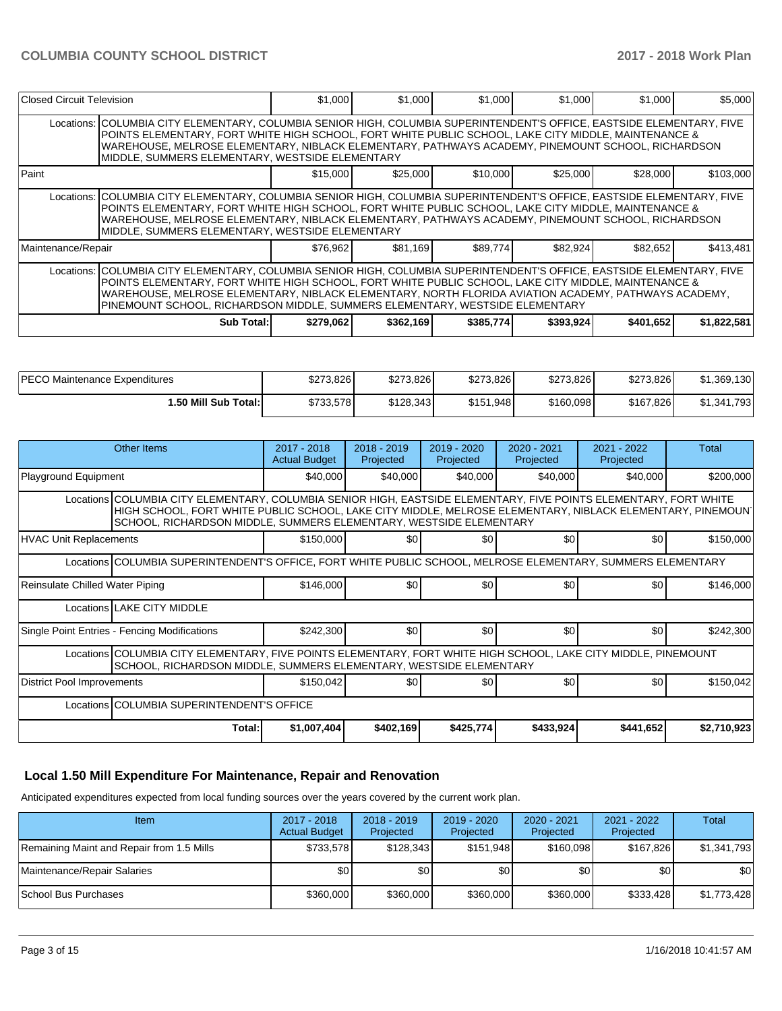| Closed Circuit Television |                                                                                                                                                                                                                                                                                                                                                                                                                           | \$1,000   | \$1,000   | \$1,000   | \$1,000   | \$1,000   | \$5,000     |
|---------------------------|---------------------------------------------------------------------------------------------------------------------------------------------------------------------------------------------------------------------------------------------------------------------------------------------------------------------------------------------------------------------------------------------------------------------------|-----------|-----------|-----------|-----------|-----------|-------------|
|                           | Locations: COLUMBIA CITY ELEMENTARY, COLUMBIA SENIOR HIGH, COLUMBIA SUPERINTENDENT'S OFFICE, EASTSIDE ELEMENTARY, FIVE<br>POINTS ELEMENTARY. FORT WHITE HIGH SCHOOL. FORT WHITE PUBLIC SCHOOL. LAKE CITY MIDDLE. MAINTENANCE &<br>WAREHOUSE, MELROSE ELEMENTARY, NIBLACK ELEMENTARY, PATHWAYS ACADEMY, PINEMOUNT SCHOOL, RICHARDSON<br>MIDDLE, SUMMERS ELEMENTARY, WESTSIDE ELEMENTARY                                    |           |           |           |           |           |             |
| Paint                     |                                                                                                                                                                                                                                                                                                                                                                                                                           | \$15,000  | \$25,000  | \$10,000  | \$25,000  | \$28,000  | \$103,000   |
|                           | Locations: COLUMBIA CITY ELEMENTARY, COLUMBIA SENIOR HIGH, COLUMBIA SUPERINTENDENT'S OFFICE, EASTSIDE ELEMENTARY, FIVE<br>POINTS ELEMENTARY, FORT WHITE HIGH SCHOOL, FORT WHITE PUBLIC SCHOOL, LAKE CITY MIDDLE, MAINTENANCE &<br>WAREHOUSE, MELROSE ELEMENTARY, NIBLACK ELEMENTARY, PATHWAYS ACADEMY, PINEMOUNT SCHOOL, RICHARDSON<br>MIDDLE, SUMMERS ELEMENTARY, WESTSIDE ELEMENTARY                                    |           |           |           |           |           |             |
| Maintenance/Repair        |                                                                                                                                                                                                                                                                                                                                                                                                                           | \$76,962  | \$81.169  | \$89,774  | \$82,924  | \$82,652  | \$413,481   |
|                           | Locations:   COLUMBIA CITY ELEMENTARY, COLUMBIA SENIOR HIGH, COLUMBIA SUPERINTENDENT'S OFFICE, EASTSIDE ELEMENTARY, FIVE<br>POINTS ELEMENTARY, FORT WHITE HIGH SCHOOL, FORT WHITE PUBLIC SCHOOL, LAKE CITY MIDDLE, MAINTENANCE &<br>IWAREHOUSE. MELROSE ELEMENTARY. NIBLACK ELEMENTARY. NORTH FLORIDA AVIATION ACADEMY. PATHWAYS ACADEMY.<br>PINEMOUNT SCHOOL, RICHARDSON MIDDLE, SUMMERS ELEMENTARY, WESTSIDE ELEMENTARY |           |           |           |           |           |             |
|                           | <b>Sub Total:</b>                                                                                                                                                                                                                                                                                                                                                                                                         | \$279,062 | \$362,169 | \$385,774 | \$393,924 | \$401,652 | \$1,822,581 |

| <b>IPECO Maintenance Expenditures</b> | \$273.826 | \$273.826 | \$273.826 | \$273,826 | \$273,826 | \$1,369,130 |
|---------------------------------------|-----------|-----------|-----------|-----------|-----------|-------------|
| <b>1.50 Mill Sub Total:I</b>          | \$733,578 | \$128.343 | \$151,948 | \$160,098 | \$167,826 | \$1,341,793 |

| Other Items                                                                                                                                                                           |                                                                                                                                                                                                                                                                                                       | 2017 - 2018<br><b>Actual Budget</b> | $2018 - 2019$<br>Projected | $2019 - 2020$<br>Projected | 2020 - 2021<br>Projected | 2021 - 2022<br>Projected | Total     |  |  |  |
|---------------------------------------------------------------------------------------------------------------------------------------------------------------------------------------|-------------------------------------------------------------------------------------------------------------------------------------------------------------------------------------------------------------------------------------------------------------------------------------------------------|-------------------------------------|----------------------------|----------------------------|--------------------------|--------------------------|-----------|--|--|--|
| Playground Equipment                                                                                                                                                                  |                                                                                                                                                                                                                                                                                                       | \$40,000                            | \$40,000                   | \$40,000                   | \$40,000                 | \$40,000                 | \$200,000 |  |  |  |
|                                                                                                                                                                                       | Locations COLUMBIA CITY ELEMENTARY, COLUMBIA SENIOR HIGH, EASTSIDE ELEMENTARY, FIVE POINTS ELEMENTARY, FORT WHITE<br>HIGH SCHOOL, FORT WHITE PUBLIC SCHOOL, LAKE CITY MIDDLE, MELROSE ELEMENTARY, NIBLACK ELEMENTARY, PINEMOUN'<br>SCHOOL, RICHARDSON MIDDLE, SUMMERS ELEMENTARY, WESTSIDE ELEMENTARY |                                     |                            |                            |                          |                          |           |  |  |  |
| <b>HVAC Unit Replacements</b>                                                                                                                                                         |                                                                                                                                                                                                                                                                                                       | \$150,000                           | \$0                        | \$0                        | \$0                      | \$0                      | \$150,000 |  |  |  |
| Locations COLUMBIA SUPERINTENDENT'S OFFICE, FORT WHITE PUBLIC SCHOOL, MELROSE ELEMENTARY, SUMMERS ELEMENTARY                                                                          |                                                                                                                                                                                                                                                                                                       |                                     |                            |                            |                          |                          |           |  |  |  |
| Reinsulate Chilled Water Piping                                                                                                                                                       |                                                                                                                                                                                                                                                                                                       | \$146,000                           | \$0 <sub>1</sub>           | \$0                        | \$0                      | \$0                      | \$146,000 |  |  |  |
| Locations LAKE CITY MIDDLE                                                                                                                                                            |                                                                                                                                                                                                                                                                                                       |                                     |                            |                            |                          |                          |           |  |  |  |
| Single Point Entries - Fencing Modifications                                                                                                                                          |                                                                                                                                                                                                                                                                                                       | \$242,300                           | \$0                        | \$0                        | \$0                      | \$0                      | \$242,300 |  |  |  |
| Locations COLUMBIA CITY ELEMENTARY, FIVE POINTS ELEMENTARY, FORT WHITE HIGH SCHOOL, LAKE CITY MIDDLE, PINEMOUNT<br>SCHOOL, RICHARDSON MIDDLE, SUMMERS ELEMENTARY, WESTSIDE ELEMENTARY |                                                                                                                                                                                                                                                                                                       |                                     |                            |                            |                          |                          |           |  |  |  |
| District Pool Improvements                                                                                                                                                            |                                                                                                                                                                                                                                                                                                       | \$150,042                           | \$0                        | \$0                        | \$0                      | \$0                      | \$150,042 |  |  |  |
|                                                                                                                                                                                       | Locations COLUMBIA SUPERINTENDENT'S OFFICE                                                                                                                                                                                                                                                            |                                     |                            |                            |                          |                          |           |  |  |  |
|                                                                                                                                                                                       | \$1,007,404<br>\$402,169<br>\$425,774<br>\$433,924<br>\$441,652<br>\$2,710,923<br>Total:                                                                                                                                                                                                              |                                     |                            |                            |                          |                          |           |  |  |  |

### **Local 1.50 Mill Expenditure For Maintenance, Repair and Renovation**

Anticipated expenditures expected from local funding sources over the years covered by the current work plan.

| Item                                      | 2017 - 2018<br><b>Actual Budget</b> | $2018 - 2019$<br><b>Projected</b> | $2019 - 2020$<br>Projected | 2020 - 2021<br>Projected | 2021 - 2022<br>Projected | Total       |
|-------------------------------------------|-------------------------------------|-----------------------------------|----------------------------|--------------------------|--------------------------|-------------|
| Remaining Maint and Repair from 1.5 Mills | \$733.578                           | \$128,343                         | \$151.948                  | \$160.098                | \$167.826                | \$1,341,793 |
| Maintenance/Repair Salaries               | \$0                                 | \$0                               | \$0                        | \$0                      | \$0 <sub>1</sub>         | \$0         |
| School Bus Purchases                      | \$360,000                           | \$360,000                         | \$360,000                  | \$360,000                | \$333.428                | \$1,773,428 |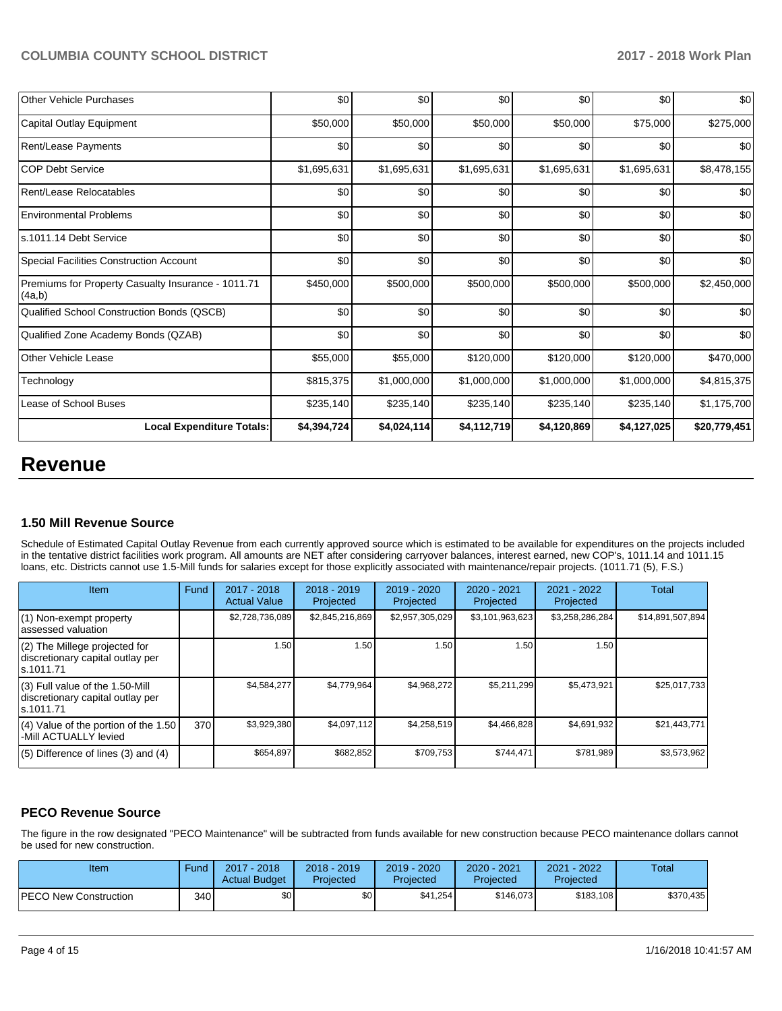### **COLUMBIA COUNTY SCHOOL DISTRICT 2017 - 2018 Work Plan**

| <b>Other Vehicle Purchases</b>                               | \$0         | \$0         | \$0         | \$0         | \$0         | \$0          |
|--------------------------------------------------------------|-------------|-------------|-------------|-------------|-------------|--------------|
| Capital Outlay Equipment                                     | \$50,000    | \$50,000    | \$50,000    | \$50,000    | \$75,000    | \$275,000    |
| <b>Rent/Lease Payments</b>                                   | \$0         | \$0         | \$0         | \$0         | \$0         | \$0          |
| ICOP Debt Service                                            | \$1,695,631 | \$1,695,631 | \$1,695,631 | \$1,695,631 | \$1,695,631 | \$8,478,155  |
| Rent/Lease Relocatables                                      | \$0         | \$0         | \$0         | \$0         | \$0         | \$0          |
| <b>Environmental Problems</b>                                | \$0         | \$0         | \$0         | \$0         | \$0         | \$0          |
| ls.1011.14 Debt Service                                      | \$0         | \$0         | \$0         | \$0         | \$0         | \$0          |
| Special Facilities Construction Account                      | \$0         | \$0         | \$0         | \$0         | \$0         | \$0          |
| Premiums for Property Casualty Insurance - 1011.71<br>(4a,b) | \$450,000   | \$500,000   | \$500,000   | \$500,000   | \$500,000   | \$2,450,000  |
| Qualified School Construction Bonds (QSCB)                   | \$0         | \$0         | \$0         | \$0         | \$0         | \$0          |
| Qualified Zone Academy Bonds (QZAB)                          | \$0         | \$0         | \$0         | \$0         | \$0         | \$0          |
| Other Vehicle Lease                                          | \$55,000    | \$55,000    | \$120,000   | \$120,000   | \$120,000   | \$470,000    |
| Technology                                                   | \$815,375   | \$1,000,000 | \$1,000,000 | \$1,000,000 | \$1,000,000 | \$4,815,375  |
| Lease of School Buses                                        | \$235,140   | \$235,140   | \$235,140   | \$235,140   | \$235,140   | \$1,175,700  |
| <b>Local Expenditure Totals:</b>                             | \$4,394,724 | \$4,024,114 | \$4,112,719 | \$4,120,869 | \$4,127,025 | \$20,779,451 |

## **Revenue**

### **1.50 Mill Revenue Source**

Schedule of Estimated Capital Outlay Revenue from each currently approved source which is estimated to be available for expenditures on the projects included in the tentative district facilities work program. All amounts are NET after considering carryover balances, interest earned, new COP's, 1011.14 and 1011.15 loans, etc. Districts cannot use 1.5-Mill funds for salaries except for those explicitly associated with maintenance/repair projects. (1011.71 (5), F.S.)

| Item                                                                                | Fund | $2017 - 2018$<br><b>Actual Value</b> | $2018 - 2019$<br>Projected | 2019 - 2020<br>Projected | $2020 - 2021$<br>Projected | 2021 - 2022<br>Projected | <b>Total</b>     |
|-------------------------------------------------------------------------------------|------|--------------------------------------|----------------------------|--------------------------|----------------------------|--------------------------|------------------|
| (1) Non-exempt property<br>lassessed valuation                                      |      | \$2,728,736,089                      | \$2,845,216,869            | \$2,957,305,029          | \$3,101,963,623            | \$3,258,286,284          | \$14,891,507,894 |
| (2) The Millege projected for<br>discretionary capital outlay per<br>ls.1011.71     |      | 1.50                                 | 1.50                       | 1.50                     | 1.50                       | 1.50                     |                  |
| $(3)$ Full value of the 1.50-Mill<br>discretionary capital outlay per<br>ls.1011.71 |      | \$4,584,277                          | \$4,779,964                | \$4,968,272              | \$5,211,299                | \$5,473,921              | \$25,017,733     |
| $(4)$ Value of the portion of the 1.50<br>-Mill ACTUALLY levied                     | 370  | \$3,929,380                          | \$4,097,112                | \$4,258,519              | \$4,466,828                | \$4,691,932              | \$21,443,771     |
| $(5)$ Difference of lines $(3)$ and $(4)$                                           |      | \$654,897                            | \$682,852                  | \$709.753                | \$744,471                  | \$781.989                | \$3,573,962      |

## **PECO Revenue Source**

The figure in the row designated "PECO Maintenance" will be subtracted from funds available for new construction because PECO maintenance dollars cannot be used for new construction.

| Item                         | Fund | 2017 - 2018<br><b>Actual Budget</b> | $2018 - 2019$<br>Projected | 2019 - 2020<br>Projected | $2020 - 2021$<br>Projected | $-2022$<br>2021<br>Projected | Total     |
|------------------------------|------|-------------------------------------|----------------------------|--------------------------|----------------------------|------------------------------|-----------|
| <b>PECO New Construction</b> | 340  | <b>\$01</b>                         | \$0                        | \$41,254                 | \$146,073                  | \$183,108                    | \$370,435 |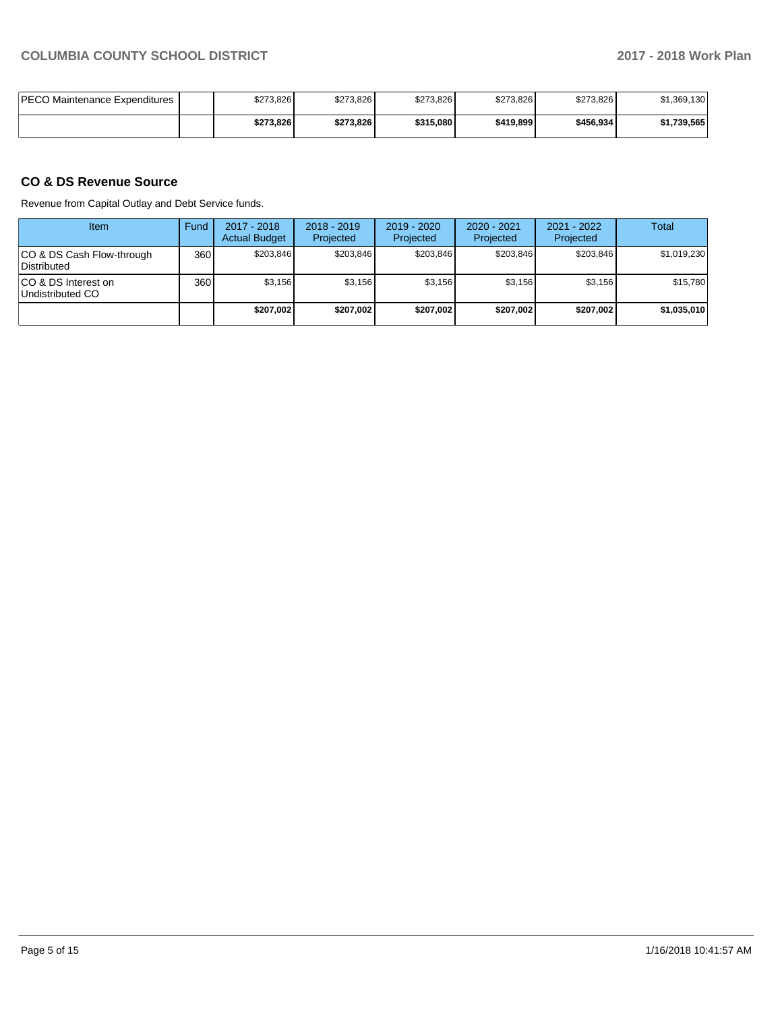| <b>IPECO Maintenance Expenditures</b> | \$273,826 | \$273,826 | \$273,826 | \$273,826 | \$273,826 | \$1,369,130 |
|---------------------------------------|-----------|-----------|-----------|-----------|-----------|-------------|
|                                       | \$273.826 | \$273.826 | \$315,080 | \$419,899 | \$456.934 | \$1,739,565 |

## **CO & DS Revenue Source**

Revenue from Capital Outlay and Debt Service funds.

| Item                                      | Fund | 2017 - 2018<br><b>Actual Budget</b> | $2018 - 2019$<br>Projected | $2019 - 2020$<br>Projected | $2020 - 2021$<br>Projected | $2021 - 2022$<br>Projected | Total       |
|-------------------------------------------|------|-------------------------------------|----------------------------|----------------------------|----------------------------|----------------------------|-------------|
| ICO & DS Cash Flow-through<br>Distributed | 360  | \$203.846                           | \$203.846                  | \$203.846                  | \$203.846                  | \$203.846                  | \$1,019,230 |
| ICO & DS Interest on<br>Undistributed CO  | 360  | \$3.156                             | \$3,156                    | \$3.156                    | \$3.156                    | \$3,156                    | \$15,780    |
|                                           |      | \$207,002                           | \$207,002                  | \$207.002                  | \$207.002                  | \$207.002                  | \$1,035,010 |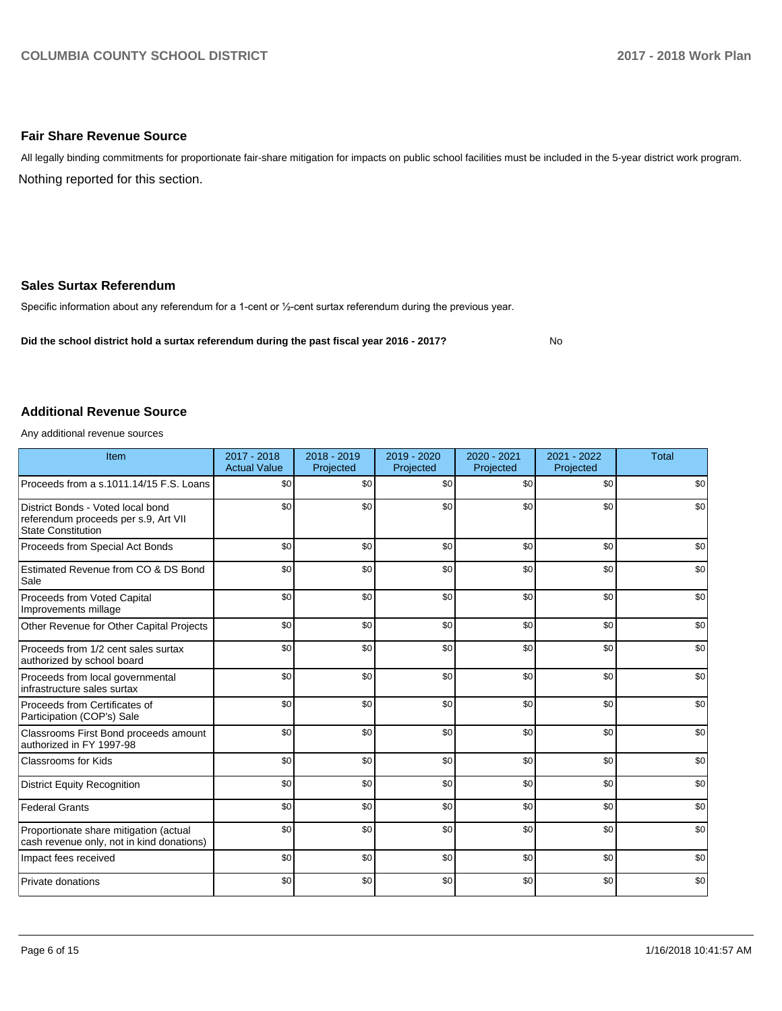#### **Fair Share Revenue Source**

Nothing reported for this section. All legally binding commitments for proportionate fair-share mitigation for impacts on public school facilities must be included in the 5-year district work program.

#### **Sales Surtax Referendum**

Specific information about any referendum for a 1-cent or 1/2-cent surtax referendum during the previous year.

**Did the school district hold a surtax referendum during the past fiscal year 2016 - 2017?**

No

#### **Additional Revenue Source**

Any additional revenue sources

| Item                                                                                                   | $2017 - 2018$<br><b>Actual Value</b> | $2018 - 2019$<br>Projected | 2019 - 2020<br>Projected | 2020 - 2021<br>Projected | 2021 - 2022<br>Projected | <b>Total</b> |
|--------------------------------------------------------------------------------------------------------|--------------------------------------|----------------------------|--------------------------|--------------------------|--------------------------|--------------|
| Proceeds from a s.1011.14/15 F.S. Loans                                                                | \$0                                  | \$0                        | \$0                      | \$0                      | \$0                      | \$0          |
| District Bonds - Voted local bond<br>referendum proceeds per s.9, Art VII<br><b>State Constitution</b> | \$0                                  | \$0                        | \$0                      | \$0                      | \$0                      | \$0          |
| Proceeds from Special Act Bonds                                                                        | \$0                                  | \$0                        | \$0                      | \$0                      | \$0                      | \$0          |
| Estimated Revenue from CO & DS Bond<br>Sale                                                            | \$0                                  | \$0                        | \$0                      | \$0                      | \$0                      | \$0          |
| Proceeds from Voted Capital<br>Improvements millage                                                    | \$0                                  | \$0                        | \$0                      | \$0                      | \$0                      | \$0          |
| Other Revenue for Other Capital Projects                                                               | \$0                                  | \$0                        | \$0                      | \$0                      | \$0                      | \$0          |
| Proceeds from 1/2 cent sales surtax<br>authorized by school board                                      | \$0                                  | \$0                        | \$0                      | \$0                      | \$0                      | \$0          |
| Proceeds from local governmental<br>infrastructure sales surtax                                        | \$0                                  | \$0                        | \$0                      | \$0                      | \$0                      | \$0          |
| Proceeds from Certificates of<br>Participation (COP's) Sale                                            | \$0                                  | \$0                        | \$0                      | \$0                      | \$0                      | \$0          |
| Classrooms First Bond proceeds amount<br>authorized in FY 1997-98                                      | \$0                                  | \$0                        | \$0                      | \$0                      | \$0                      | \$0          |
| <b>Classrooms for Kids</b>                                                                             | \$0                                  | \$0                        | \$0                      | \$0                      | \$0                      | \$0          |
| <b>District Equity Recognition</b>                                                                     | \$0                                  | \$0                        | \$0                      | \$0                      | \$0                      | \$0          |
| <b>Federal Grants</b>                                                                                  | \$0                                  | \$0                        | \$0                      | \$0                      | \$0                      | \$0          |
| Proportionate share mitigation (actual<br>cash revenue only, not in kind donations)                    | \$0                                  | \$0                        | \$0                      | \$0                      | \$0                      | \$0          |
| Impact fees received                                                                                   | \$0                                  | \$0                        | \$0                      | \$0                      | \$0                      | \$0          |
| Private donations                                                                                      | \$0                                  | \$0                        | \$0                      | \$0                      | \$0                      | \$0          |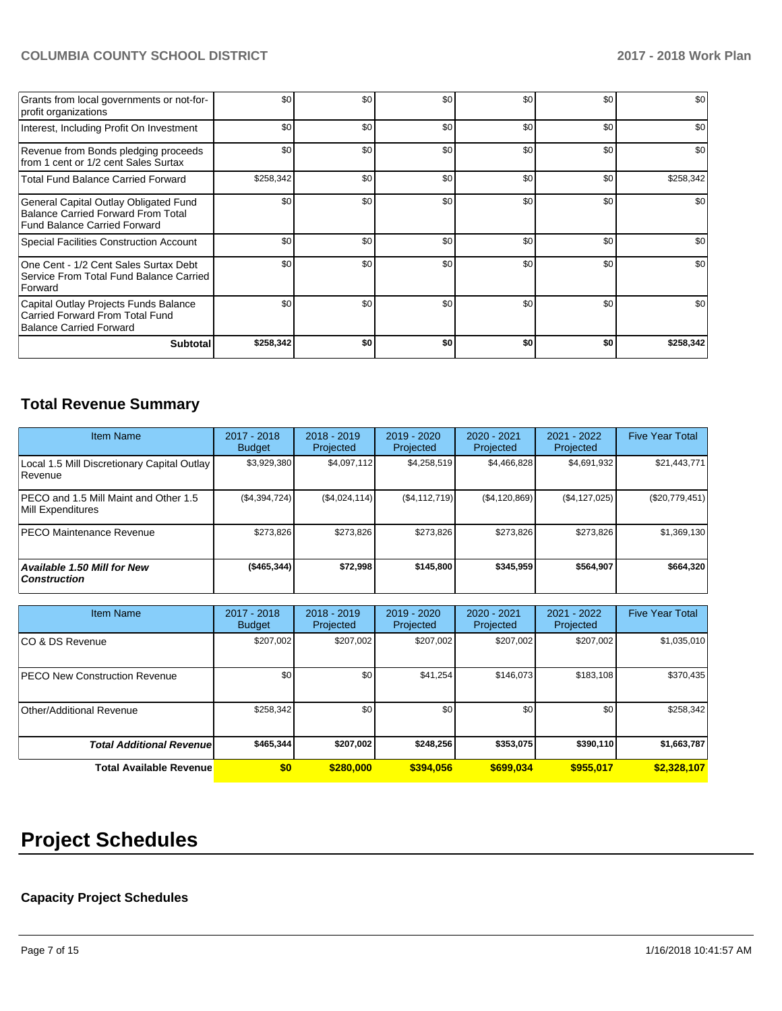## **COLUMBIA COUNTY SCHOOL DISTRICT 2017 - 2018 Work Plan**

| Grants from local governments or not-for-<br>profit organizations                                                         | \$0       | \$0 | \$0 | \$0 | \$0              | \$0       |
|---------------------------------------------------------------------------------------------------------------------------|-----------|-----|-----|-----|------------------|-----------|
| Interest, Including Profit On Investment                                                                                  | \$0       | \$0 | \$0 | \$0 | \$0              | \$0       |
| Revenue from Bonds pledging proceeds<br>from 1 cent or 1/2 cent Sales Surtax                                              | \$0       | \$0 | \$0 | \$0 | \$0              | \$0       |
| <b>Total Fund Balance Carried Forward</b>                                                                                 | \$258,342 | \$0 | \$0 | \$0 | \$0              | \$258,342 |
| General Capital Outlay Obligated Fund<br><b>Balance Carried Forward From Total</b><br><b>Fund Balance Carried Forward</b> | \$0       | \$0 | \$0 | \$0 | \$0              | \$0       |
| <b>Special Facilities Construction Account</b>                                                                            | \$0       | \$0 | \$0 | \$0 | \$0              | \$0       |
| One Cent - 1/2 Cent Sales Surtax Debt<br>Service From Total Fund Balance Carried<br>Forward                               | \$0       | \$0 | \$0 | \$0 | \$0 <sub>1</sub> | \$0       |
| Capital Outlay Projects Funds Balance<br>Carried Forward From Total Fund<br>Balance Carried Forward                       | \$0       | \$0 | \$0 | \$0 | \$0              | \$0       |
| <b>Subtotal</b>                                                                                                           | \$258,342 | \$0 | \$0 | \$0 | \$0              | \$258,342 |

## **Total Revenue Summary**

| Item Name                                                  | 2017 - 2018<br><b>Budget</b> | $2018 - 2019$<br>Projected | $2019 - 2020$<br>Projected | $2020 - 2021$<br>Projected | $2021 - 2022$<br>Projected | <b>Five Year Total</b> |
|------------------------------------------------------------|------------------------------|----------------------------|----------------------------|----------------------------|----------------------------|------------------------|
| Local 1.5 Mill Discretionary Capital Outlay<br>Revenue     | \$3,929,380                  | \$4,097,112                | \$4,258,519                | \$4,466,828                | \$4,691,932                | \$21,443,771           |
| PECO and 1.5 Mill Maint and Other 1.5<br>Mill Expenditures | (\$4,394,724)                | (\$4,024,114)              | (\$4, 112, 719)            | (\$4,120,869)              | (\$4, 127, 025)            | (\$20,779,451)         |
| IPECO Maintenance Revenue                                  | \$273.826                    | \$273,826                  | \$273.826                  | \$273.826                  | \$273,826                  | \$1,369,130            |
| Available 1.50 Mill for New<br>  Construction              | ( \$465, 344)                | \$72,998                   | \$145,800                  | \$345,959                  | \$564,907                  | \$664,320              |

| <b>Item Name</b>                     | 2017 - 2018<br><b>Budget</b> | $2018 - 2019$<br>Projected | 2019 - 2020<br>Projected | 2020 - 2021<br>Projected | 2021 - 2022<br>Projected | <b>Five Year Total</b> |
|--------------------------------------|------------------------------|----------------------------|--------------------------|--------------------------|--------------------------|------------------------|
| ICO & DS Revenue                     | \$207,002                    | \$207,002                  | \$207,002                | \$207,002                | \$207,002                | \$1,035,010            |
| <b>PECO New Construction Revenue</b> | \$0                          | \$0                        | \$41,254                 | \$146,073                | \$183,108                | \$370,435              |
| Other/Additional Revenue             | \$258,342                    | \$0                        | \$0                      | \$0                      | \$0                      | \$258,342              |
| <b>Total Additional Revenuel</b>     | \$465,344                    | \$207,002                  | \$248,256                | \$353,075                | \$390,110                | \$1,663,787            |
| <b>Total Available Revenue</b>       | \$0                          | \$280,000                  | \$394,056                | \$699.034                | \$955,017                | \$2,328,107            |

# **Project Schedules**

## **Capacity Project Schedules**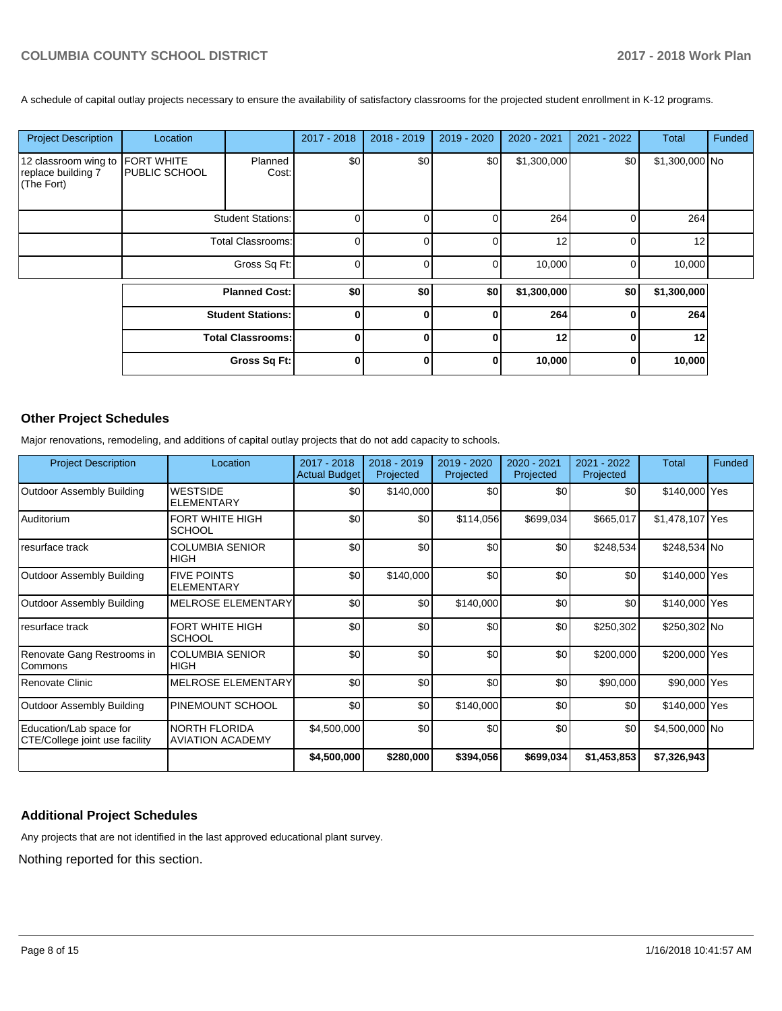A schedule of capital outlay projects necessary to ensure the availability of satisfactory classrooms for the projected student enrollment in K-12 programs.

| <b>Project Description</b>                               | Location                           |                          | 2017 - 2018 | 2018 - 2019 | 2019 - 2020 | 2020 - 2021 | 2021 - 2022 | <b>Total</b>   | Funded |
|----------------------------------------------------------|------------------------------------|--------------------------|-------------|-------------|-------------|-------------|-------------|----------------|--------|
| 12 classroom wing to<br>replace building 7<br>(The Fort) | <b>FORT WHITE</b><br>PUBLIC SCHOOL | Planned<br>Cost:         | \$0         | \$0         | \$0         | \$1,300,000 | \$0         | \$1,300,000 No |        |
|                                                          | <b>Student Stations:</b>           |                          | $\Omega$    |             | 0           | 264         | 0           | 264            |        |
|                                                          | <b>Total Classrooms:</b>           |                          | $\Omega$    |             | 0           | 12          | $\Omega$    | 12             |        |
|                                                          | Gross Sq Ft:                       |                          | $\mathbf 0$ |             | 0           | 10,000      | 0           | 10,000         |        |
|                                                          |                                    | <b>Planned Cost:</b>     | \$0         | \$0         | \$0         | \$1,300,000 | \$0         | \$1,300,000    |        |
|                                                          |                                    | <b>Student Stations:</b> | 0           | $\Omega$    | $\bf{0}$    | 264         | $\Omega$    | 264            |        |
|                                                          |                                    | <b>Total Classrooms:</b> | 0           | $\bf{0}$    | $\bf{0}$    | 12          | $\Omega$    | 12             |        |
|                                                          |                                    | Gross Sq Ft:             | 0           | U           | $\bf{0}$    | 10,000      | $\bf{0}$    | 10,000         |        |

### **Other Project Schedules**

Major renovations, remodeling, and additions of capital outlay projects that do not add capacity to schools.

| <b>Project Description</b>                                | Location                                        | 2017 - 2018<br><b>Actual Budget</b> | 2018 - 2019<br>Projected | 2019 - 2020<br>Projected | 2020 - 2021<br>Projected | 2021 - 2022<br>Projected | <b>Total</b>    | Funded |
|-----------------------------------------------------------|-------------------------------------------------|-------------------------------------|--------------------------|--------------------------|--------------------------|--------------------------|-----------------|--------|
| Outdoor Assembly Building                                 | <b>WESTSIDE</b><br><b>ELEMENTARY</b>            | \$0                                 | \$140,000                | \$0                      | \$0                      | \$0                      | \$140,000 Yes   |        |
| Auditorium                                                | <b>FORT WHITE HIGH</b><br><b>SCHOOL</b>         | \$0                                 | \$0                      | \$114,056                | \$699,034                | \$665,017                | \$1,478,107 Yes |        |
| resurface track                                           | <b>COLUMBIA SENIOR</b><br><b>HIGH</b>           | \$0                                 | \$0                      | \$0                      | \$0                      | \$248,534                | \$248,534 No    |        |
| <b>Outdoor Assembly Building</b>                          | <b>FIVE POINTS</b><br><b>ELEMENTARY</b>         | \$0                                 | \$140,000                | \$0                      | \$0                      | \$0                      | \$140,000 Yes   |        |
| <b>Outdoor Assembly Building</b>                          | <b>MELROSE ELEMENTARY</b>                       | \$0                                 | \$0                      | \$140,000                | \$0                      | \$0                      | \$140,000 Yes   |        |
| resurface track                                           | FORT WHITE HIGH<br><b>SCHOOL</b>                | \$0                                 | \$0                      | \$0                      | \$0                      | \$250,302                | \$250,302 No    |        |
| Renovate Gang Restrooms in<br>Commons                     | <b>COLUMBIA SENIOR</b><br><b>HIGH</b>           | \$0                                 | \$0                      | \$0                      | \$0                      | \$200,000                | \$200,000 Yes   |        |
| Renovate Clinic                                           | <b>MELROSE ELEMENTARY</b>                       | \$0                                 | \$0                      | \$0                      | \$0                      | \$90,000                 | \$90,000 Yes    |        |
| Outdoor Assembly Building                                 | PINEMOUNT SCHOOL                                | \$0                                 | \$0                      | \$140,000                | \$0                      | \$0                      | \$140,000 Yes   |        |
| Education/Lab space for<br>CTE/College joint use facility | <b>NORTH FLORIDA</b><br><b>AVIATION ACADEMY</b> | \$4,500,000                         | \$0                      | \$0                      | \$0                      | \$0                      | \$4,500,000 No  |        |
|                                                           |                                                 | \$4,500,000                         | \$280,000                | \$394,056                | \$699,034                | \$1,453,853              | \$7,326,943     |        |

## **Additional Project Schedules**

Any projects that are not identified in the last approved educational plant survey.

Nothing reported for this section.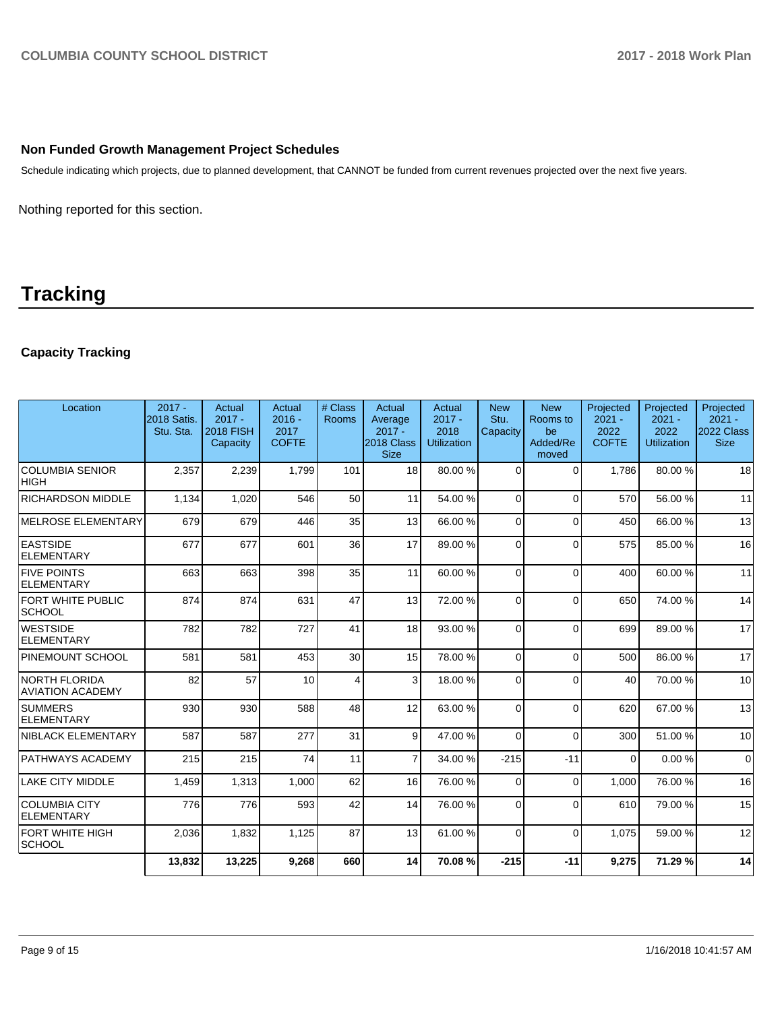### **Non Funded Growth Management Project Schedules**

Schedule indicating which projects, due to planned development, that CANNOT be funded from current revenues projected over the next five years.

Nothing reported for this section.

## **Tracking**

## **Capacity Tracking**

| Location                                  | $2017 -$<br>2018 Satis.<br>Stu. Sta. | Actual<br>$2017 -$<br><b>2018 FISH</b><br>Capacity | Actual<br>$2016 -$<br>2017<br><b>COFTE</b> | # Class<br>Rooms | Actual<br>Average<br>$2017 -$<br>2018 Class<br><b>Size</b> | Actual<br>$2017 -$<br>2018<br><b>Utilization</b> | <b>New</b><br>Stu.<br>Capacity | <b>New</b><br>Rooms to<br>be<br>Added/Re<br>moved | Projected<br>$2021 -$<br>2022<br><b>COFTE</b> | Projected<br>$2021 -$<br>2022<br><b>Utilization</b> | Projected<br>$2021 -$<br>2022 Class<br><b>Size</b> |
|-------------------------------------------|--------------------------------------|----------------------------------------------------|--------------------------------------------|------------------|------------------------------------------------------------|--------------------------------------------------|--------------------------------|---------------------------------------------------|-----------------------------------------------|-----------------------------------------------------|----------------------------------------------------|
| <b>COLUMBIA SENIOR</b><br> HIGH           | 2,357                                | 2,239                                              | 1.799                                      | 101              | 18 <sup>1</sup>                                            | 80.00%                                           | $\Omega$                       | $\Omega$                                          | 1.786                                         | 80.00 %                                             | 18                                                 |
| <b>RICHARDSON MIDDLE</b>                  | 1,134                                | 1,020                                              | 546                                        | 50               | 11                                                         | 54.00 %                                          | $\Omega$                       | $\Omega$                                          | 570                                           | 56.00 %                                             | 11                                                 |
| MELROSE ELEMENTARY                        | 679                                  | 679                                                | 446                                        | 35               | 13                                                         | 66.00 %                                          | $\Omega$                       | $\Omega$                                          | 450                                           | 66.00 %                                             | 13                                                 |
| <b>EASTSIDE</b><br>ELEMENTARY             | 677                                  | 677                                                | 601                                        | 36               | 17                                                         | 89.00 %                                          | $\Omega$                       | $\Omega$                                          | 575                                           | 85.00 %                                             | 16                                                 |
| <b>FIVE POINTS</b><br>ELEMENTARY          | 663                                  | 663                                                | 398                                        | 35               | 11                                                         | 60.00 %                                          | $\Omega$                       | $\Omega$                                          | 400                                           | 60.00%                                              | 11                                                 |
| FORT WHITE PUBLIC<br><b>SCHOOL</b>        | 874                                  | 874                                                | 631                                        | 47               | 13                                                         | 72.00%                                           | $\Omega$                       | $\Omega$                                          | 650                                           | 74.00%                                              | 14                                                 |
| <b>WESTSIDE</b><br><b>ELEMENTARY</b>      | 782                                  | 782                                                | 727                                        | 41               | 18                                                         | 93.00 %                                          | $\Omega$                       | $\Omega$                                          | 699                                           | 89.00 %                                             | 17                                                 |
| <b>PINEMOUNT SCHOOL</b>                   | 581                                  | 581                                                | 453                                        | 30               | 15                                                         | 78.00 %                                          | $\Omega$                       | $\Omega$                                          | 500                                           | 86.00 %                                             | 17                                                 |
| NORTH FLORIDA<br><b>AVIATION ACADEMY</b>  | 82                                   | 57                                                 | 10                                         | $\overline{4}$   | $\mathbf{3}$                                               | 18.00 %                                          | $\Omega$                       | $\Omega$                                          | 40                                            | 70.00 %                                             | 10                                                 |
| <b>SUMMERS</b><br><b>ELEMENTARY</b>       | 930                                  | 930                                                | 588                                        | 48               | 12                                                         | 63.00 %                                          | $\Omega$                       | $\Omega$                                          | 620                                           | 67.00 %                                             | 13                                                 |
| NIBLACK ELEMENTARY                        | 587                                  | 587                                                | 277                                        | 31               | 9                                                          | 47.00 %                                          | $\Omega$                       | $\Omega$                                          | 300                                           | 51.00 %                                             | 10                                                 |
| <b>PATHWAYS ACADEMY</b>                   | 215                                  | 215                                                | 74                                         | 11               | $\overline{7}$                                             | 34.00 %                                          | $-215$                         | $-11$                                             | $\Omega$                                      | 0.00%                                               | $\mathbf 0$                                        |
| <b>LAKE CITY MIDDLE</b>                   | 1,459                                | 1,313                                              | 1,000                                      | 62               | 16                                                         | 76.00 %                                          | $\Omega$                       | $\Omega$                                          | 1.000                                         | 76.00 %                                             | 16                                                 |
| <b>COLUMBIA CITY</b><br><b>ELEMENTARY</b> | 776                                  | 776                                                | 593                                        | 42               | 14                                                         | 76.00 %                                          | $\Omega$                       | $\Omega$                                          | 610                                           | 79.00 %                                             | 15                                                 |
| FORT WHITE HIGH<br><b>SCHOOL</b>          | 2,036                                | 1,832                                              | 1,125                                      | 87               | 13                                                         | 61.00%                                           | $\Omega$                       | $\Omega$                                          | 1,075                                         | 59.00 %                                             | 12                                                 |
|                                           | 13.832                               | 13,225                                             | 9,268                                      | 660              | 14                                                         | 70.08%                                           | $-215$                         | $-11$                                             | 9,275                                         | 71.29 %                                             | 14                                                 |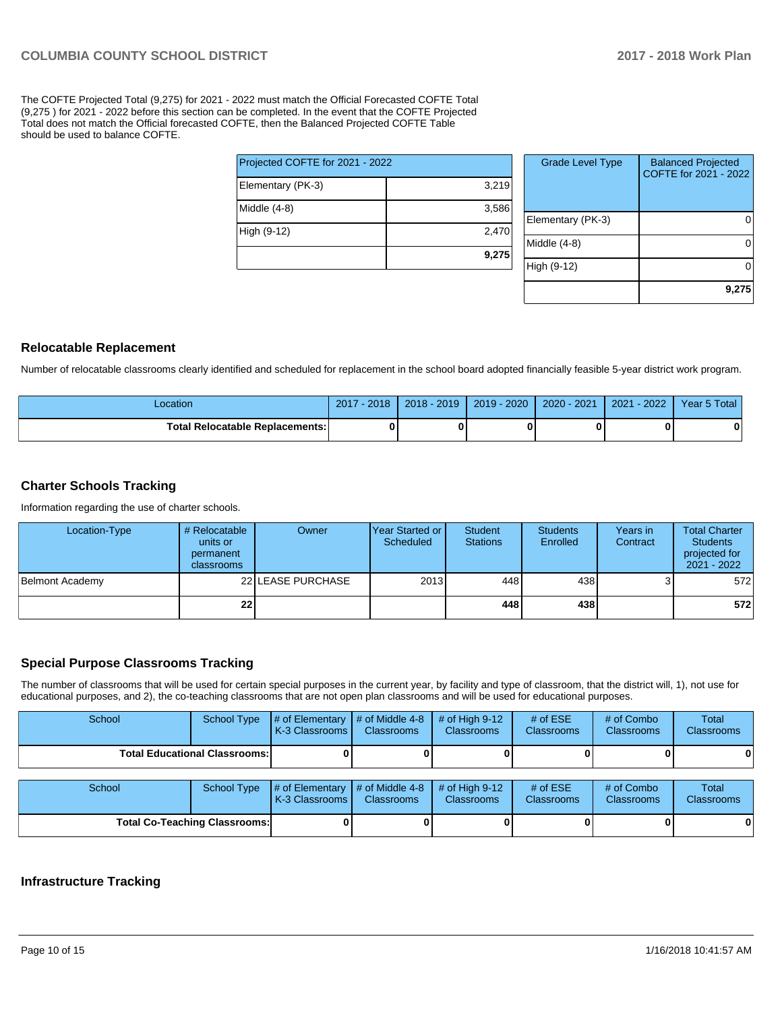The COFTE Projected Total (9,275) for 2021 - 2022 must match the Official Forecasted COFTE Total (9,275 ) for 2021 - 2022 before this section can be completed. In the event that the COFTE Projected Total does not match the Official forecasted COFTE, then the Balanced Projected COFTE Table should be used to balance COFTE.

|                                 | 9,275 |  |  |  |  |
|---------------------------------|-------|--|--|--|--|
| High (9-12)                     | 2,470 |  |  |  |  |
| Middle (4-8)                    | 3,586 |  |  |  |  |
| Elementary (PK-3)               | 3,219 |  |  |  |  |
| Projected COFTE for 2021 - 2022 |       |  |  |  |  |

| <b>Grade Level Type</b> | <b>Balanced Projected</b><br>COFTE for 2021 - 2022 |
|-------------------------|----------------------------------------------------|
| Elementary (PK-3)       |                                                    |
| Middle (4-8)            |                                                    |
| High (9-12)             |                                                    |
|                         | 9,275                                              |

#### **Relocatable Replacement**

Number of relocatable classrooms clearly identified and scheduled for replacement in the school board adopted financially feasible 5-year district work program.

| Location                               | 2018<br>2017 | $2018 - 2019$ | $2019 - 2020$ | 2020 - 2021 | 2022<br>2021 | Year 5 Total |
|----------------------------------------|--------------|---------------|---------------|-------------|--------------|--------------|
| <b>Total Relocatable Replacements:</b> | 0            |               |               |             |              |              |

#### **Charter Schools Tracking**

Information regarding the use of charter schools.

| Location-Type   | # Relocatable<br>units or<br>permanent<br>classrooms | Owner             | l Year Started or I<br>Scheduled | <b>Student</b><br><b>Stations</b> | <b>Students</b><br>Enrolled | Years in<br>Contract | <b>Total Charter</b><br><b>Students</b><br>projected for<br>2021 - 2022 |
|-----------------|------------------------------------------------------|-------------------|----------------------------------|-----------------------------------|-----------------------------|----------------------|-------------------------------------------------------------------------|
| Belmont Academy |                                                      | 22 LEASE PURCHASE | 2013                             | 448                               | 438                         |                      | 572                                                                     |
|                 | 22                                                   |                   |                                  | 448                               | 438                         |                      | 572                                                                     |

#### **Special Purpose Classrooms Tracking**

The number of classrooms that will be used for certain special purposes in the current year, by facility and type of classroom, that the district will, 1), not use for educational purposes, and 2), the co-teaching classrooms that are not open plan classrooms and will be used for educational purposes.

| School                               | School Type | $\parallel$ # of Elementary $\parallel$ # of Middle 4-8<br><b>K-3 Classrooms L</b> | <b>Classrooms</b> | $#$ of High 9-12<br><b>Classrooms</b> | # of $ESE$<br><b>Classrooms</b> | # of Combo<br><b>Classrooms</b> | Total<br><b>Classrooms</b> |
|--------------------------------------|-------------|------------------------------------------------------------------------------------|-------------------|---------------------------------------|---------------------------------|---------------------------------|----------------------------|
| <b>Total Educational Classrooms:</b> |             |                                                                                    |                   |                                       |                                 |                                 |                            |
|                                      |             |                                                                                    |                   |                                       |                                 |                                 |                            |
| School                               | School Type | $\#$ of Elementary $\#$ of Middle 4-8 $\#$ of High 9-12                            |                   |                                       | # of $ESE$                      | # of Combo                      | <b>Total</b>               |

| School                               | School Type | # of Elementary $\vert \#$ of Middle 4-8 $\vert \#$ of High 9-12<br><b>K-3 Classrooms</b> | <b>Classrooms</b> | <b>Classrooms</b> | # of $ESE$<br><b>Classrooms</b> | $#$ of Combo<br><b>Classrooms</b> | Total<br><b>Classrooms</b> |
|--------------------------------------|-------------|-------------------------------------------------------------------------------------------|-------------------|-------------------|---------------------------------|-----------------------------------|----------------------------|
| <b>Total Co-Teaching Classrooms:</b> |             |                                                                                           |                   |                   |                                 |                                   |                            |

#### **Infrastructure Tracking**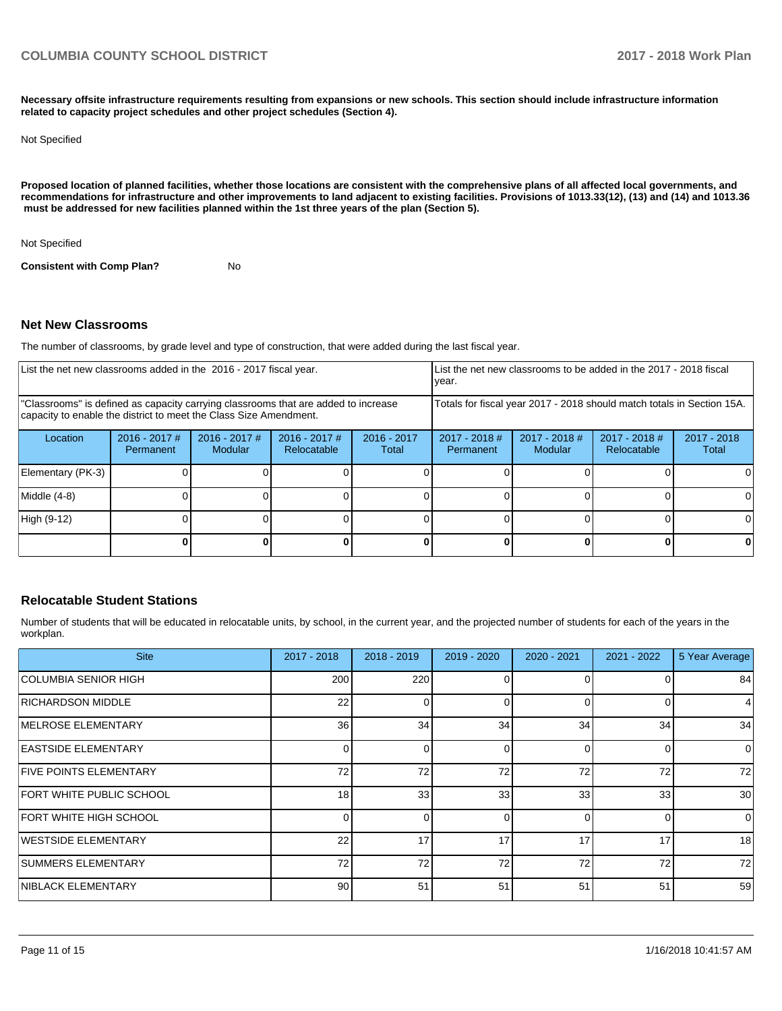**Necessary offsite infrastructure requirements resulting from expansions or new schools. This section should include infrastructure information related to capacity project schedules and other project schedules (Section 4).** 

#### Not Specified

**Proposed location of planned facilities, whether those locations are consistent with the comprehensive plans of all affected local governments, and recommendations for infrastructure and other improvements to land adjacent to existing facilities. Provisions of 1013.33(12), (13) and (14) and 1013.36** must be addressed for new facilities planned within the 1st three years of the plan (Section 5).

Not Specified

**Consistent with Comp Plan?** No

#### **Net New Classrooms**

The number of classrooms, by grade level and type of construction, that were added during the last fiscal year.

| List the net new classrooms added in the 2016 - 2017 fiscal year.                                                                                       |                              |                                   |                                |                        | year.                                                                  |                            | List the net new classrooms to be added in the 2017 - 2018 fiscal |                        |
|---------------------------------------------------------------------------------------------------------------------------------------------------------|------------------------------|-----------------------------------|--------------------------------|------------------------|------------------------------------------------------------------------|----------------------------|-------------------------------------------------------------------|------------------------|
| "Classrooms" is defined as capacity carrying classrooms that are added to increase<br>capacity to enable the district to meet the Class Size Amendment. |                              |                                   |                                |                        | Totals for fiscal year 2017 - 2018 should match totals in Section 15A. |                            |                                                                   |                        |
| Location                                                                                                                                                | $2016 - 2017$ #<br>Permanent | $2016 - 2017$ #<br><b>Modular</b> | $2016 - 2017$ #<br>Relocatable | $2016 - 2017$<br>Total | $2017 - 2018$ #<br>Permanent                                           | $2017 - 2018$ #<br>Modular | 2017 - 2018 #<br><b>Relocatable</b>                               | $2017 - 2018$<br>Total |
| Elementary (PK-3)                                                                                                                                       |                              |                                   |                                |                        |                                                                        |                            |                                                                   |                        |
| Middle (4-8)                                                                                                                                            |                              |                                   |                                |                        |                                                                        |                            |                                                                   |                        |
| High (9-12)                                                                                                                                             |                              |                                   |                                |                        |                                                                        |                            |                                                                   |                        |
|                                                                                                                                                         |                              |                                   |                                |                        |                                                                        |                            |                                                                   |                        |

#### **Relocatable Student Stations**

Number of students that will be educated in relocatable units, by school, in the current year, and the projected number of students for each of the years in the workplan.

| <b>Site</b>                   | $2017 - 2018$ | $2018 - 2019$ | 2019 - 2020 | 2020 - 2021 | $2021 - 2022$ | 5 Year Average |
|-------------------------------|---------------|---------------|-------------|-------------|---------------|----------------|
| COLUMBIA SENIOR HIGH          | 200           | 220           | 0           |             |               | 84             |
| <b>RICHARDSON MIDDLE</b>      | 22            |               | U           | $\Omega$    | ŋ             | 4              |
| <b>IMELROSE ELEMENTARY</b>    | 36            | 34            | 34          | 34          | 34            | 34             |
| <b>EASTSIDE ELEMENTARY</b>    |               |               | 0           | $\Omega$    |               | $\Omega$       |
| <b>FIVE POINTS ELEMENTARY</b> | 72            | 72            | 72          | 72          | 72            | 72             |
| FORT WHITE PUBLIC SCHOOL      | 18            | 33            | 33          | 33          | 33            | 30             |
| FORT WHITE HIGH SCHOOL        |               |               | $\Omega$    | $\Omega$    |               | $\Omega$       |
| WESTSIDE ELEMENTARY           | 22            | 17            | 17          | 17          | 17            | 18             |
| SUMMERS ELEMENTARY            | 72            | 72            | 72          | 72          | 72            | 72             |
| <b>NIBLACK ELEMENTARY</b>     | 90            | 51            | 51          | 51          | 51            | 59             |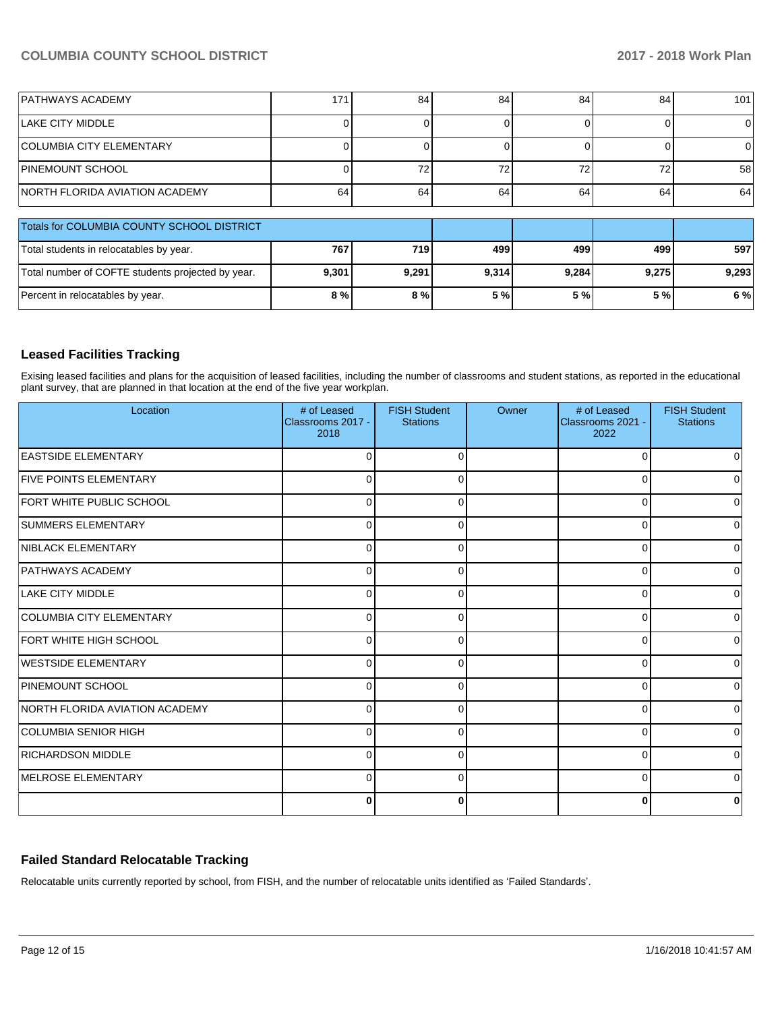### **COLUMBIA COUNTY SCHOOL DISTRICT 2017 - 2018 Work Plan**

| <b>PATHWAYS ACADEMY</b>                           | 171   | 84    | 84    | 84    | 84    | 101             |
|---------------------------------------------------|-------|-------|-------|-------|-------|-----------------|
| LAKE CITY MIDDLE                                  |       |       |       |       |       | $\Omega$        |
| <b>COLUMBIA CITY ELEMENTARY</b>                   |       |       |       |       |       | $\Omega$        |
| <b>PINEMOUNT SCHOOL</b>                           |       | 72    | 72    | 72    | 72    | 58 <sup>1</sup> |
| <b>INORTH FLORIDA AVIATION ACADEMY</b>            | 64    | 64    | 64    | 64    | 64    | 64              |
| Totals for COLUMBIA COUNTY SCHOOL DISTRICT        |       |       |       |       |       |                 |
| Total students in relocatables by year.           | 767   | 719   | 499   | 499   | 499   | 597             |
| Total number of COFTE students projected by year. | 9,301 | 9,291 | 9,314 | 9,284 | 9,275 | 9,293           |
| Percent in relocatables by year.                  | 8 %   | 8%    | 5 %   | 5 %   | 5 %   | 6 %             |

#### **Leased Facilities Tracking**

Exising leased facilities and plans for the acquisition of leased facilities, including the number of classrooms and student stations, as reported in the educational plant survey, that are planned in that location at the end of the five year workplan.

| Location                        | # of Leased<br>Classrooms 2017 -<br>2018 | <b>FISH Student</b><br><b>Stations</b> | Owner | # of Leased<br>Classrooms 2021 -<br>2022 | <b>FISH Student</b><br><b>Stations</b> |
|---------------------------------|------------------------------------------|----------------------------------------|-------|------------------------------------------|----------------------------------------|
| <b>EASTSIDE ELEMENTARY</b>      | 0                                        |                                        |       | O                                        | 0                                      |
| <b>FIVE POINTS ELEMENTARY</b>   | $\Omega$                                 |                                        |       | n                                        | 0                                      |
| <b>FORT WHITE PUBLIC SCHOOL</b> | $\Omega$                                 |                                        |       | $\Omega$                                 | $\overline{0}$                         |
| <b>SUMMERS ELEMENTARY</b>       | $\mathbf 0$                              |                                        |       | $\Omega$                                 | $\overline{0}$                         |
| NIBLACK ELEMENTARY              | $\mathbf 0$                              |                                        |       | U                                        | $\overline{0}$                         |
| <b>PATHWAYS ACADEMY</b>         | 0                                        |                                        |       | U                                        | 0                                      |
| <b>LAKE CITY MIDDLE</b>         | 0                                        | r                                      |       | ∩                                        | 0                                      |
| <b>COLUMBIA CITY ELEMENTARY</b> | $\Omega$                                 | r                                      |       | ∩                                        | $\Omega$                               |
| FORT WHITE HIGH SCHOOL          | $\Omega$                                 |                                        |       | 0                                        | $\overline{0}$                         |
| <b>IWESTSIDE ELEMENTARY</b>     | $\Omega$                                 |                                        |       | O                                        | ٥l                                     |
| PINEMOUNT SCHOOL                | $\Omega$                                 |                                        |       | U                                        | $\overline{0}$                         |
| NORTH FLORIDA AVIATION ACADEMY  | $\mathbf 0$                              |                                        |       | U                                        | 0                                      |
| COLUMBIA SENIOR HIGH            | $\Omega$                                 |                                        |       | ∩                                        | $\overline{0}$                         |
| <b>RICHARDSON MIDDLE</b>        | $\Omega$                                 |                                        |       | 0                                        | $\overline{0}$                         |
| MELROSE ELEMENTARY              | $\Omega$                                 | $\Omega$                               |       | $\Omega$                                 | $\overline{0}$                         |
|                                 | $\bf{0}$                                 | ŋ                                      |       | C                                        | 0                                      |

#### **Failed Standard Relocatable Tracking**

Relocatable units currently reported by school, from FISH, and the number of relocatable units identified as 'Failed Standards'.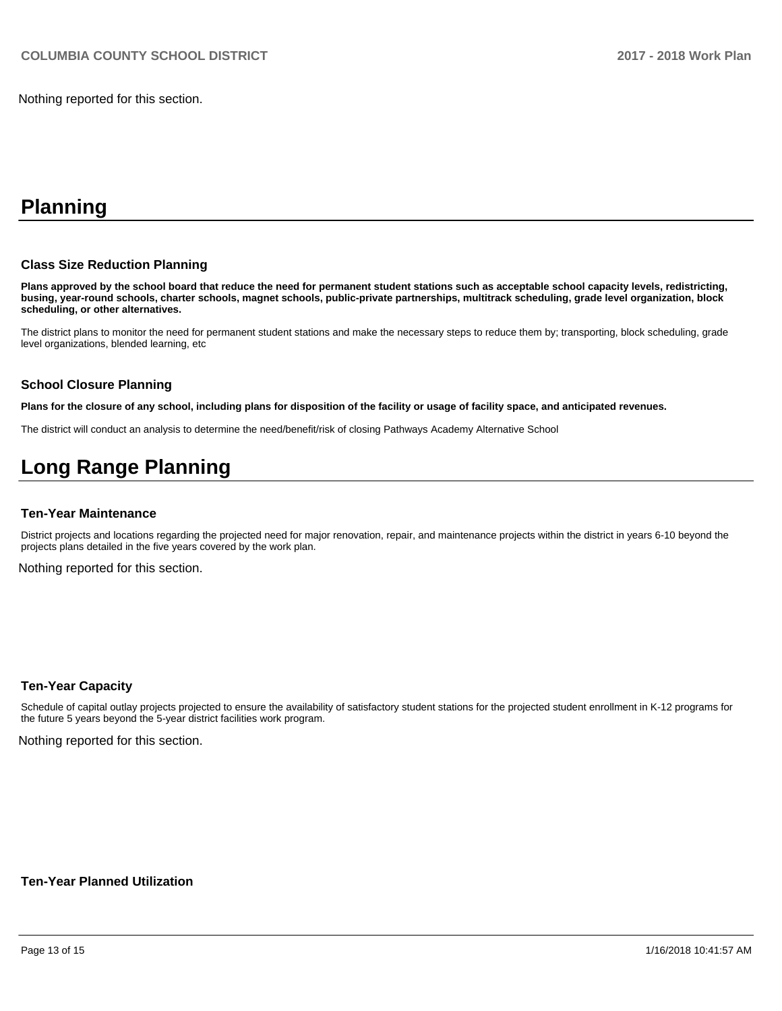Nothing reported for this section.

## **Planning**

#### **Class Size Reduction Planning**

**Plans approved by the school board that reduce the need for permanent student stations such as acceptable school capacity levels, redistricting, busing, year-round schools, charter schools, magnet schools, public-private partnerships, multitrack scheduling, grade level organization, block scheduling, or other alternatives.**

The district plans to monitor the need for permanent student stations and make the necessary steps to reduce them by; transporting, block scheduling, grade level organizations, blended learning, etc

#### **School Closure Planning**

**Plans for the closure of any school, including plans for disposition of the facility or usage of facility space, and anticipated revenues.** 

The district will conduct an analysis to determine the need/benefit/risk of closing Pathways Academy Alternative School

## **Long Range Planning**

#### **Ten-Year Maintenance**

District projects and locations regarding the projected need for major renovation, repair, and maintenance projects within the district in years 6-10 beyond the projects plans detailed in the five years covered by the work plan.

Nothing reported for this section.

#### **Ten-Year Capacity**

Schedule of capital outlay projects projected to ensure the availability of satisfactory student stations for the projected student enrollment in K-12 programs for the future 5 years beyond the 5-year district facilities work program.

Nothing reported for this section.

#### **Ten-Year Planned Utilization**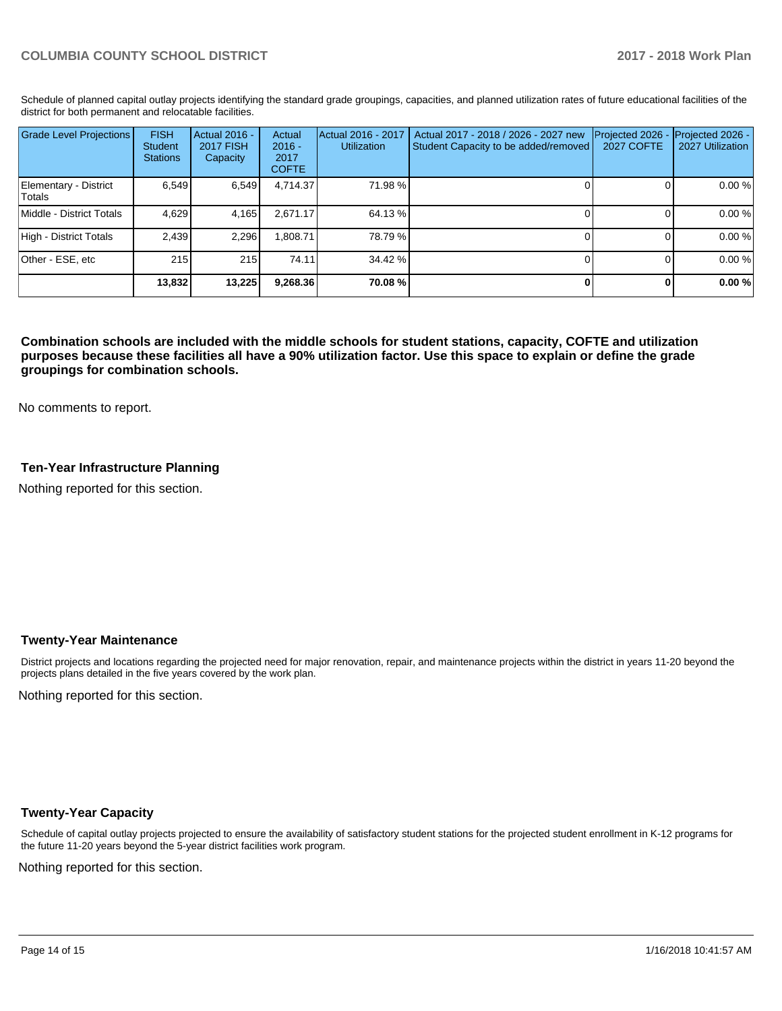Schedule of planned capital outlay projects identifying the standard grade groupings, capacities, and planned utilization rates of future educational facilities of the district for both permanent and relocatable facilities.

| <b>Grade Level Projections</b>   | <b>FISH</b><br>Student<br><b>Stations</b> | Actual 2016 -<br><b>2017 FISH</b><br>Capacity | Actual<br>$2016 -$<br>2017<br><b>COFTE</b> | Actual 2016 - 2017<br><b>Utilization</b> | Actual 2017 - 2018 / 2026 - 2027 new<br>Student Capacity to be added/removed | Projected 2026<br><b>2027 COFTE</b> | Projected 2026 -<br>2027 Utilization |
|----------------------------------|-------------------------------------------|-----------------------------------------------|--------------------------------------------|------------------------------------------|------------------------------------------------------------------------------|-------------------------------------|--------------------------------------|
| Elementary - District<br> Totals | 6.549                                     | 6,549                                         | 4,714.37                                   | 71.98%                                   |                                                                              |                                     | 0.00 %                               |
| Middle - District Totals         | 4.629                                     | 4,165                                         | 2.671.17                                   | 64.13 %                                  |                                                                              |                                     | 0.00 %                               |
| High - District Totals           | 2,439                                     | 2,296                                         | .808.71                                    | 78.79 %                                  |                                                                              |                                     | 0.00 %                               |
| Other - ESE, etc                 | 215                                       | 215                                           | 74.11                                      | 34.42 %                                  |                                                                              |                                     | 0.00 %                               |
|                                  | 13,832                                    | 13,225                                        | 9,268.36                                   | 70.08%                                   |                                                                              |                                     | 0.00%                                |

**Combination schools are included with the middle schools for student stations, capacity, COFTE and utilization purposes because these facilities all have a 90% utilization factor. Use this space to explain or define the grade groupings for combination schools.** 

No comments to report.

#### **Ten-Year Infrastructure Planning**

Nothing reported for this section.

#### **Twenty-Year Maintenance**

District projects and locations regarding the projected need for major renovation, repair, and maintenance projects within the district in years 11-20 beyond the projects plans detailed in the five years covered by the work plan.

Nothing reported for this section.

#### **Twenty-Year Capacity**

Schedule of capital outlay projects projected to ensure the availability of satisfactory student stations for the projected student enrollment in K-12 programs for the future 11-20 years beyond the 5-year district facilities work program.

Nothing reported for this section.